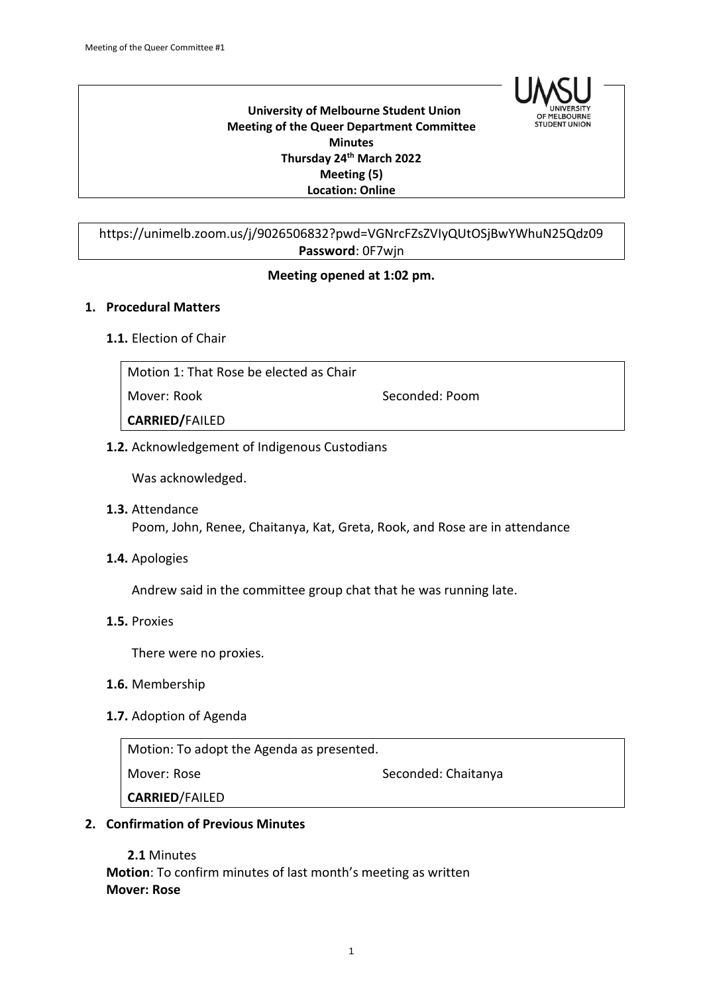

#### **University of Melbourne Student Union Meeting of the Queer Department Committee Minutes Thursday 24th March 2022 Meeting (5) Location: Online**

# https://unimelb.zoom.us/j/9026506832?pwd=VGNrcFZsZVIyQUtOSjBwYWhuN25Qdz09 **Password**: 0F7wjn

#### **Meeting opened at 1:02 pm.**

#### **1. Procedural Matters**

#### **1.1.** Election of Chair

| Motion 1: That Rose be elected as Chair |                |
|-----------------------------------------|----------------|
| Mover: Rook                             | Seconded: Poom |
| <b>CARRIED/FAILED</b>                   |                |

#### **1.2.** Acknowledgement of Indigenous Custodians

Was acknowledged.

- **1.3.** Attendance Poom, John, Renee, Chaitanya, Kat, Greta, Rook, and Rose are in attendance
- **1.4.** Apologies

Andrew said in the committee group chat that he was running late.

**1.5.** Proxies

There were no proxies.

- **1.6.** Membership
- **1.7.** Adoption of Agenda

| Motion: To adopt the Agenda as presented. |                     |  |
|-------------------------------------------|---------------------|--|
| l Mover: Rose                             | Seconded: Chaitanya |  |
| CARRIED/FAILED                            |                     |  |

## **2. Confirmation of Previous Minutes**

**2.1** Minutes **Motion**: To confirm minutes of last month's meeting as written **Mover: Rose**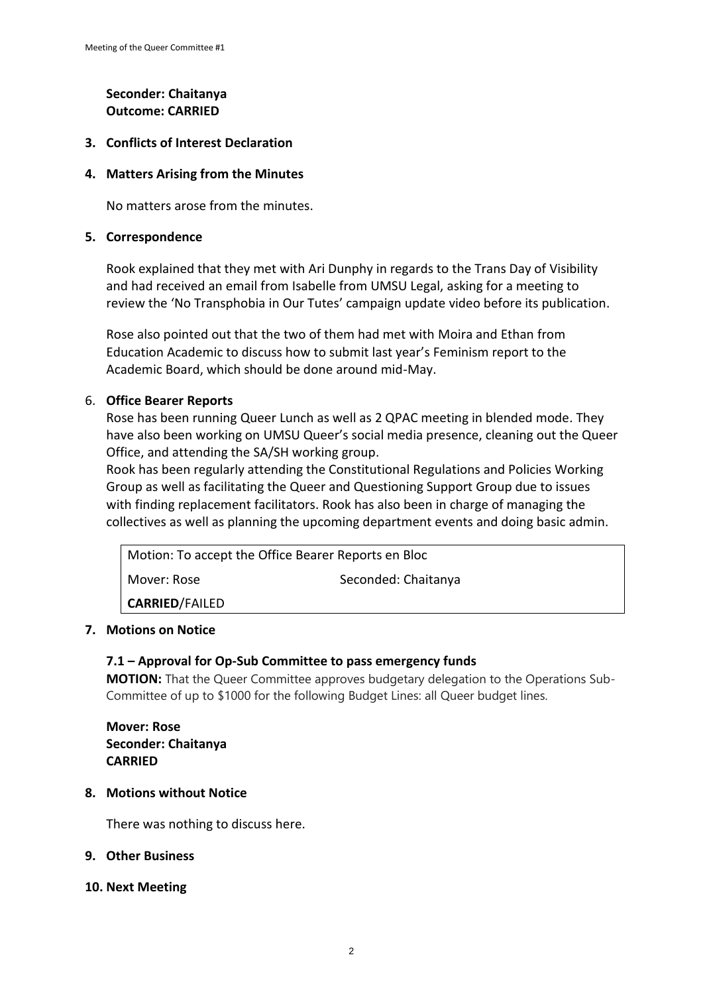# **Seconder: Chaitanya Outcome: CARRIED**

## **3. Conflicts of Interest Declaration**

#### **4. Matters Arising from the Minutes**

No matters arose from the minutes.

#### **5. Correspondence**

Rook explained that they met with Ari Dunphy in regards to the Trans Day of Visibility and had received an email from Isabelle from UMSU Legal, asking for a meeting to review the 'No Transphobia in Our Tutes' campaign update video before its publication.

Rose also pointed out that the two of them had met with Moira and Ethan from Education Academic to discuss how to submit last year's Feminism report to the Academic Board, which should be done around mid-May.

# 6. **Office Bearer Reports**

Rose has been running Queer Lunch as well as 2 QPAC meeting in blended mode. They have also been working on UMSU Queer's social media presence, cleaning out the Queer Office, and attending the SA/SH working group.

Rook has been regularly attending the Constitutional Regulations and Policies Working Group as well as facilitating the Queer and Questioning Support Group due to issues with finding replacement facilitators. Rook has also been in charge of managing the collectives as well as planning the upcoming department events and doing basic admin.

Motion: To accept the Office Bearer Reports en Bloc

Mover: Rose Seconded: Chaitanya

**CARRIED**/FAILED

# **7. Motions on Notice**

# **7.1 – Approval for Op-Sub Committee to pass emergency funds**

**MOTION:** That the Queer Committee approves budgetary delegation to the Operations Sub-Committee of up to \$1000 for the following Budget Lines: all Queer budget lines.

**Mover: Rose Seconder: Chaitanya CARRIED**

#### **8. Motions without Notice**

There was nothing to discuss here.

#### **9. Other Business**

#### **10. Next Meeting**